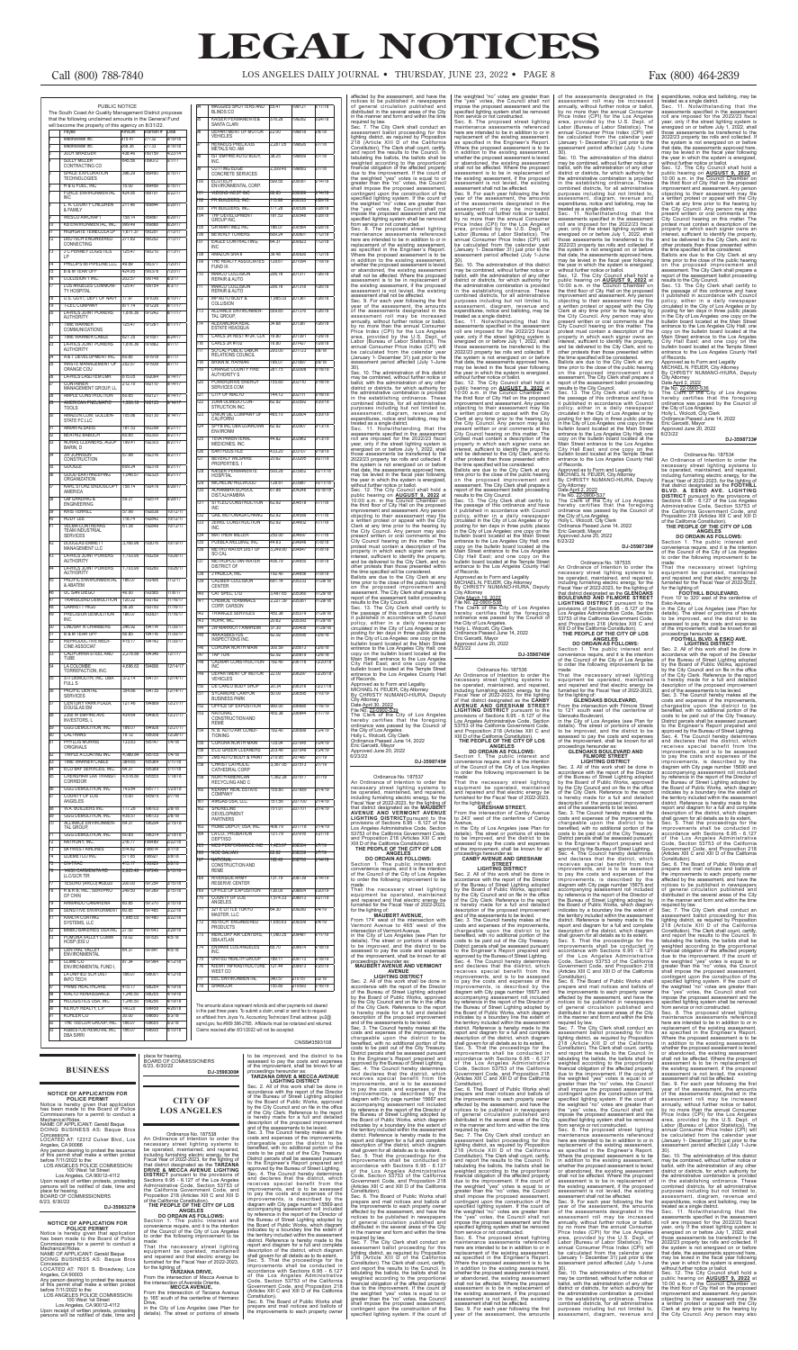**BUSINESS**

**NOTICE OF APPLICATION FOR**<br> **POLICE PERMIT**<br>
Notice is hereby given that application<br>
has been made to the Board of Police<br>
Commissioners for a permit to conduct a<br>
Mechanical Rides.<br>
NAME OF APPLICANT: Gerald Baque<br>
DOIN

Concessions<br>
Concessions<br>
COCATED AT: 12312 Culver Blvd., Los<br>
Angeles, CA 90066<br>
Any person desiring to protest the issuance<br>
before 7/11/2022 to the:<br>
LOS ANGELES POLICE COMMISSION<br>
LOS ANGELES POLICE COMMISSION<br>
LOS Ang

**NOTICE OF APPLICATION FOR POLICE PERMIT** Notice is hereby given that application<br>has been made to the Board of Police Commissioners for a permit to conduct a Mechanical Rides. NAME OF APPLICANT: Gerald Baque DOING BUSINESS AS: Baque Bros Concessions LOCATED AT: 7601 S. Broadway, Los

Any person desiring to protest the issuance of this permit shall make a written protest before 7/11/2022 to the:<br>LOS ANGELES POLICE COMMISSION LOS ANGELES POLICE COMMISSION<br>100 West 1st Street<br>Los Angeles, CA 90012-4112<br>Upon receipt of written protests, protesting<br>persons will be notified of date, time and

6/23, 6/30/22

**DJ-3598327#**

place for hearing.<br>ROARD OF COMMISSIONERS

Angeles, CA 90003

place for hearing. BOARD OF COMMISSIONERS 6/23, 6/30/22 **DJ-3598300#**

## **CITY OF LOS ANGELES**

### Ordinance No. 187538

An Ordinance of Intention to order the necessary street lighting systems to be operated, maintained, and repaired, including furnishing electric energy, for the Fiscal Year of 2022-2023, for the lighting of that district designated as the **TARZANA DRIVE & MECCA AVENUE LIGHTING DISTRICT** pursuant to the provisions of<br>Sections 6.95 - 6.127 of the Los Angeles<br>Administrative Code, Section 53753 of<br>the California Government Code, and<br>Proposition 218 (Articles XIII C and XIII D of the California Constitution). **THE PEOPLE OF THE CITY OF LOS** 

### **ANGELES DO ORDAIN AS FOLLOWS:**

Section 1. The public interest and convenience require, and it is the intention<br>of the Council of the City of Los Angeles<br>to order the following improvement to be

made: That the necessary street lighting equipment be operated, maintained and repaired and that electric energy be furnished for the Fiscal Year of 2022-2023,

for the lighting of: **TARZANA DRIVE,** From the intersection of Mecca Avenue to the intersection of Avenida Oriente,

**MECCA AVENUE,** From the intersection of Tarzana Avenue to 165' south of the centerline of Hermano

Drive, in the City of Los Angeles (see Plan for details). The street or portions of streets

of the improvement, shall be known for all<br>proceedings hereunder as:<br>
TARZANA DRIVE & MECCA AVENUE<br>
Sec. 2. All of this work shall be done in<br>
accordance with the report of the Director<br>
of the Bureau of Street Lighting ad

the Bureau of Street Lighting adopted by<br>the Boran of Public Works, which diagram<br>indicates by a boundary line the extent of<br>the territory included within the assessment<br>district. Reference is hereby made to the<br>descriptio

Sec. 6. The Board of Public Works shall prepare and mail notices and ballots of the improvements to each property owner

:onstitution).<br>iec. 6. The Board of Public Works shall

prepare and mail notices and ballots of<br>the improvements to each property owner<br>affected by the assessment, and have the<br>notices to be published in newspapers<br>of general circulation published and<br>distributed in the several

Ordinance No. 187537<br>An Ordinance of Intention to order the<br>necessary street lighting systems to<br>he operated, maintained, and repaired, including furnishing electic energy, for the<br>fixed Year of 2022-2023, for the lighting of the Council of the City of Los Angeles to order the following improvement to be made: That the necessary street lighting equipment be operated, maintained and repaired and that electric energy be furnished for the Fiscal Year of 2022-2023,

**DJ-3598745#**

the weighted "no" votes are greater than the "yes" votes, the Council shall not<br>the "yes" votes, the Council shall not<br>specified lighting system shall be removed<br>from service or not constructed.<br>Sec. 8. The proposed street

Ordinance No. 187536<br>
An Ordinance of Intention to order the<br>
necessary street lighting systems to<br>
be operated, maintained, and repaired,<br>
including furnishing electic energy, for the<br>
Fiscal Year of 2022-2023, for the li That the necessary street lighting equipment be operated, maintained and repaired and that electric energy be furnished for the Fiscal Year of 2022-2023, for the lighting of: **GLENOAKS BOULEVARD,**

Section 1. The public interest<br>convenience require, and it is the intention<br> $\frac{1}{n}$ . The intention of the intention

of the assessments designated in the<br>assessment roll may be increased<br>assessment roll may be increased<br>by no more than the annual Consumer<br>Price Index (CPI) for the Los Angeles<br>area, provided by the U.S. Dept. of<br>Labor (Bu

Sec. 10. The administration of this district<br>may be combined, without further notice or<br>ballot, with the administration of any other<br>district or districts, for which authority for<br>the administrative combination is provided

roll are imposed for the 2022/23 fiscal<br>rear, only if the stretet lighting system is<br>energized on or before July 1, 2022, shall<br>those assessments be transferred to the<br>divergent in that date, the assessments approved here,

may be combined, without further notice or ballot, with the administration of any other district or districts, for which authority for

the administrative combination is provided in the establishing ordinance. These<br>in the establishing ordinance. These<br>combined districts, for all administrative<br>purposes including but not limited to,<br>experimently disagram,

Sec. 10. The administration of this district may be combined, without further notice or ballot, with the administration of any other district or districts, for which authority for the administrative combination is provided<br>in the establishing ordinance. These<br>combined districts, for all administrative<br>purposes including but not limited to,<br>assessment, diagram, revenue and

by reference in the report of the Director of<br>the Burector of the report of the Director of the Board of Public Works, which diagram<br>indicates by a boundary line the extent of<br>the territory included within the assessment d

MICHAEL N. FEUER, City Attorney By CHRISTY NUMANO-HIURA, Deputy City Attorney

Date March 19, 2022<br>File No.  $22.0800.538$ <br>The Clerk of the City of Los Angeles<br>The Clerk of the City of Los Angeles<br>ordinance was passed by the Council of<br>the City of Los Angeles.<br>Holly L. Wolcott, City Clerk<br>Ordinance P

made:<br>That the necessary street lighting equipment be operated, maintained and repaired and that electric energy be furnished for the Fiscal Year of 2022-2023,

## for the lighting of:<br>**FOOTHILL BOULEVARD,**<br>Collarat of the center

**FOOTHILL BOULEVARD,**<br> **FOOTHILL BOULEVARD,**<br> **FOOTHILL BOULEVARD,**<br> **FOOTHILL BOULEVARD**,<br> **ESKO Avenue,**<br> **ESKO Avenue,**<br> **CEON of Los Angeles (see Plan for details). The street or portions of streets to be improvement,** 

nstitution).<br>Sec. 6. The Board of Public Works shall<br>Sections and ballots of prepare and mail notices and ballots of the improvements to each property owner affected by the assessment, and have the notices to be published in newspapers of general circulation published and

distributed in the several areas of the City<br>in the manner and form and within the time<br>equired by law.<br>Sec. 7. The City Clerk shall conduct an<br>assessment ballot proceeding for this<br>assessment ballot proceeding for this<br>ig

ballot, with the administration of any other<br>district or districts, for which authority for<br>the administrative combination is provided<br>in the establishing ordinance. These<br>combined districts, for all administrative<br>purpose

Sec. 11. Notwithstanding that the<br>assessments specified in the assessment<br>coll are imposed for the 2022/23 fiscal<br>pear, only if the street lighting system is<br>energized on or before July 1, 2022, shall<br>those assessments be

### for the lighting of: **GRESHAM STREET,**

From the intersection of Canby Avenue to 243' west of the centerline of Canby

# Avenue,<br>in the City of Los Angeles (see Plan for<br>details). The street or portions of streets<br>to be improved, and the district to be<br>assessed to pay the costs and expenses

of the improvement, shall be known for all<br>proceedings hereunder as:<br>CANBY AVENUE AND GRESHAM<br>Sec. 2. All of this work shall be done in<br>accordance with the report of the Director<br>of the Bureau of Street Lighting adopted<br>by

the Bureau of Street Lighting adopted by<br>the Board of Public Works, which diagram<br>Indicates by a boundary line the extent of<br>the territory included within the assessment<br>district. Reference is hereby made to the<br>report and

the Bureau of Street Lighting adopted by<br>the Board of Public Works, which diagram<br>Indicates by a boundary line the extent of<br>the territory included within the assessment<br>district. Reference is hereby made to the<br>report and Constitution).<br>Sec. 6. The Board of Public Works shall prepare and mail notices and ballots of<br>the improvements to each property owner<br>affected by the assessment, and have the<br>notices to be published in newspapers<br>of general circulation published and<br>distributed in the several

in the manner and form and within the time<br>required by law.<br>Sec. 7. The City Clerk shall conduct an<br>assessment ballot proceeding for this<br>dighting district, as required by Proposition<br>Constitution). The Clerk shall count,

required by law.<br>Sec. 7. The City Clerk shall conduct an Sec. 7. The City Clerk shall conduct an<br>assessment ballot proceeding for this<br>assessment ballot proceeding for this<br>lighting district, as required by Proposition<br>Constitution). The Clerk shall count, certify,<br>and report th here are intended to be in addition to or in<br>the replacement of the existing assessment,<br>as specified in the Engineer's Report.<br>Where the proposed assessment is to be<br>invested to the existing assessment,<br>in addition to the

Sec. 2. All of this work shall be done in<br>accordance with the whork shall be done in<br>accordance with the report of the Director<br>of the Bureau of Street Lighting adopted<br>by the City Clenk. Reference to the report<br>of the Cit the Bureau of Street Lighting adopted by<br>the Board of Public Works, which diagram<br>Indicates by a boundary line the extent of<br>the territory included within the assessment<br>district. Reference is hereby made to the<br>report and

tion).<br>The Board of Public Works shall prepare and mail notices and ballots of<br>the improvements to each property owner<br>affected by the assessment, and have the<br>notices to be published in newspapers<br>of general circulation published and<br>distributed in the several

required by law.<br>Sec. 7. The City Clerk shall conduct an Sec. 7. The City Clerk shall conduct an<br>assessment ballot proceeding for this<br>assessment ballot proceeding for this<br>ighting district, as required by Proposition<br>Constitution). The Clerk shall count, certify,<br>and report the

here are intended to be in addition to or in<br>the replacement of the existing assessment,<br>replacement of the existing assessment,<br>as specified in the Engineer's Report.<br>Where the proposed assessment is to be<br>whether the pro

that date, the assessments approved here,<br>may be levied in the fiscal year following<br>the year in which the system is energized,<br>without further notice or ballot.<br>Sec. 12. The City Council shall hold a<br>public hearing on **AU** improvement and assessment. Any person objecting to their assessment may file a written protest or appeal with the City Clerk at any time prior to the hearing by the City Council. Any person may also

Payee **Amount Warrant #**<br>MedReview Inc. 975.41 27732 1 MedReview Inc. 2775.41 27732 9/19/18<br>1 MedReview Inc. 268.36 27733 9/19/18 MedReview Inc. 268.36 27733 9/19/18 3 JUDY BRAEGER 438.46 160159 4/23/14

**HILY MILLER** CONTRACTING CO

WESCO AIRCRAFT 158.14 189867 6/29/17 10 KB ENVIRONMENTAL, INC. 999.49 189868 6/29/17 11 HIGHGATE TEMECULA LP 1,671.37 190201 7/13/17

DEUTSCH ENGINEERED<br>CONNECTING CONNECTING

WASTE MANAGEMENT OF ORANGE COU

AMAZON.COM. GOLDEN-STATE FC LLC

31 AIMAN ALSAEIS 181.53 192299 9/21/17 BEATRIZ BABUCH 60.85 192300 9/21/17

GM GRADING & ENGINEERING

41 VELMA CONTRERAS TEAM INDUSTRIAL **SERVICES** 

> DOUGLAS EMMET MANAGEMENT LLC

**PACIFIC EN** & ABATEM

46 UC SAN DIEGO 40.00 193565 11/8/17 47 TRANSCEND DEMOLITION 120.22 193782 11/16/17 GARRETT HIGO 56.28 193793 11/16/17

50 LINDSAY N CHAMBERS 246.92 194114 11/30/17 B & M TEAR OFF 60.85 194116 11/30/1

25.47 190754

19126

1.816.36 191882

202.57 191938

99.41 19230

affected by the assessment, and have the and have the<br>motices to be published in newspapers<br>of general circulation published and<br>distributed in the several area of the City<br>information in the manner and form and within the

ballot, with the administration of any other<br>district or districts for which and y other<br>district or districtive combination is provided<br>in the establishing ordinance. These<br>combined districtive combination is provided<br>com

REPRODUCTIVE MED CINE ASSOCIAT

LA COLOMBE TORREFACTION, INC.

134 R4 59 GGG DEMOLITION, INC 186.07 194926 12/21/17 60 CALTRANS 19.12 195056 12/28/17

TRIPLE A COATING INC 4,989.84 195155 1/4/18<br>TIME WARNER CABLE 384.65 195364 1/11/11 63 TIME WARNER CABLE 384.65 195364 1/11/18

703.90

**GAISER PERM** SANTA CLARI

97 **HERAEUS PRECIOUS** 

PUBLIC NOTICE The South Coast Air Quality Management District proposes that the following unclaimed amounts in the General Fund will become the property of this agency on 8/31/22

By CHRISTY NUMANO-HIURA, Deputy City Attorney

expenditures, notice and balloting, may be<br>treated as a single district

treated as a single distinct.<br>Sec. 11. Notwithstanding that the<br>sec. 11. Notwithstanding that the<br>assessments specied in the assessment<br>oral are imposed for the 2022/23 fiscal<br>pear, only if the strett lighting system is<br>en

Approve<br>6/23/22

**GLENOAKS BOULEVARD AND FILMORE STREET LIGHTING DISTRICT**

Date <u>April 2, 2022</u><br>File No. <u>22-0900-S37</u><br>The Clerk of the City of Los Angeles<br>hereby certifies that the foregoing<br>ordinance was passed by the Council of<br>the City of Los Angeles.<br>Holly L. Wolcott, City Clerk<br>Ordinance Pa Approved June 20, 2022 6/23/22 **DJ-3598738#** Ordinance No. 187535<br>
An Ordinance of Intention to order the<br>
necessary street lighting systems to<br>
be operated, maintained, and repaired,<br>
including furnishing electic energy, for the<br>
friexel Year of 2022-2023, for the l

| 101           | VIZIONS WEST INC                                                                                                                                                                                                                                                                                                                                                                | 60.85                                     | 200089                   | 6/14/18                                                                                 |
|---------------|---------------------------------------------------------------------------------------------------------------------------------------------------------------------------------------------------------------------------------------------------------------------------------------------------------------------------------------------------------------------------------|-------------------------------------------|--------------------------|-----------------------------------------------------------------------------------------|
| 102<br>103    | PR BUILDERS, INC.<br>PR BUILDERS, INC.                                                                                                                                                                                                                                                                                                                                          | 115.96<br>177.28                          | 200535<br>200536         | 6/28/18<br>6/28/18                                                                      |
| 104           | <b>THF DEVELOPMENT</b>                                                                                                                                                                                                                                                                                                                                                          | 181.53                                    | 200548                   | 6/28/18                                                                                 |
| 105           | GROUP INC.<br><b>GR MARTINEZ INC</b>                                                                                                                                                                                                                                                                                                                                            | 186.07                                    | 200564                   | 6/28/18                                                                                 |
| 106           | <b>BEVERLY TOWERS</b>                                                                                                                                                                                                                                                                                                                                                           | 609.24                                    | 200801                   | 7/12/18                                                                                 |
| 107           | <b>EAGLE CONTRACTING,</b>                                                                                                                                                                                                                                                                                                                                                       | 64.37                                     | 200823                   | 7/12/18                                                                                 |
| 108           | INC<br>AMAZON SNA 6                                                                                                                                                                                                                                                                                                                                                             | 39.48                                     | 200826                   | 7/12/18                                                                                 |
| 109           | THE REALTY ASSOCIATES                                                                                                                                                                                                                                                                                                                                                           | 128.61                                    | 201094                   | 7/19/18                                                                                 |
| 110           | <b>FUND IX</b><br><b>MAACO COLLISION</b>                                                                                                                                                                                                                                                                                                                                        | 206.76                                    | 201317                   | 7/26/18                                                                                 |
|               | REPAIR & AUTO                                                                                                                                                                                                                                                                                                                                                                   |                                           |                          |                                                                                         |
| 111           | <b>MAACO COLLISION</b><br><b>REPAIR &amp; AUTO</b>                                                                                                                                                                                                                                                                                                                              | 206.76                                    | 201318                   | 7/26/18                                                                                 |
| 112           | <b>MP AUTO BODY &amp;</b>                                                                                                                                                                                                                                                                                                                                                       | 1,985.03                                  | 201361                   | 7/26/18                                                                                 |
| 113           | COLLISION<br><b>ALLIANCE ENVIRONMEN-</b>                                                                                                                                                                                                                                                                                                                                        | 559.85                                    | 201376                   | 7/26/18                                                                                 |
|               | TAL GROUP.                                                                                                                                                                                                                                                                                                                                                                      |                                           |                          |                                                                                         |
| 114           | <b>ALEXANDRIA REAL</b><br><b>ESTATE HEADQUA</b>                                                                                                                                                                                                                                                                                                                                 | 34.68                                     | 201387                   | 7/26/18                                                                                 |
| 115           | CARLS JR REST #724, CLK                                                                                                                                                                                                                                                                                                                                                         | 16.80                                     | 201391                   | 7/26/18                                                                                 |
| 116           | CARLS JR #702                                                                                                                                                                                                                                                                                                                                                                   | 16.80                                     | 201427                   | 7/26/18                                                                                 |
| 117           | <b>SO CAL PUBLIC LABOR</b><br>RELATIONS COUNCIL                                                                                                                                                                                                                                                                                                                                 | 200.00                                    | 201723                   | 8/8/18                                                                                  |
| 118           | <b>BRIAN M. HAYMAN</b>                                                                                                                                                                                                                                                                                                                                                          | 186.07                                    | 201897                   | 8/9/18                                                                                  |
| 119           | <b>ORANGE COUNTY FIRE</b><br>AUTHORITY S                                                                                                                                                                                                                                                                                                                                        | 281.75                                    | 202098                   | 8/16/18                                                                                 |
| 120           | POWERDRIVE ENERGY                                                                                                                                                                                                                                                                                                                                                               | 155.80                                    | 202110                   | 8/16/18                                                                                 |
|               | <b>SERVICES COM</b>                                                                                                                                                                                                                                                                                                                                                             |                                           |                          |                                                                                         |
| 121<br>122    | <b>CITY OF RIALTO</b><br>JUAN OLMEDO CON-                                                                                                                                                                                                                                                                                                                                       | 744.12<br>62.92                           | 202111<br>202592         | 8/16/18<br>8/30/18                                                                      |
|               | STRUCTION INC.                                                                                                                                                                                                                                                                                                                                                                  |                                           |                          |                                                                                         |
| 123           | UNION OIL COMPANY OF<br><b>CALIFORNI</b>                                                                                                                                                                                                                                                                                                                                        | 465.10                                    | 202604                   | 8/30/18                                                                                 |
| 124           | <b>SPYB INC DBA GUARDIAN</b>                                                                                                                                                                                                                                                                                                                                                    | 62.92                                     | 202907                   | 9/13/18                                                                                 |
| 125           | <b>ENVIRONM</b><br><b>TEVA PARENTERAL</b>                                                                                                                                                                                                                                                                                                                                       | 44.82                                     | 202962                   | 9/13/18                                                                                 |
|               | MEDICINES, INC                                                                                                                                                                                                                                                                                                                                                                  |                                           |                          |                                                                                         |
| 126           | <b>EARTHJUSTICE</b>                                                                                                                                                                                                                                                                                                                                                             | 433.20                                    | 203107                   | 9/19/18                                                                                 |
| 127           | <b>BEVERLY WILSHIRE</b><br>PROPERTIES, I                                                                                                                                                                                                                                                                                                                                        | 20.62                                     | 203295                   | 9/27/18                                                                                 |
| 128           | <b>KAISER PERMANENTE</b>                                                                                                                                                                                                                                                                                                                                                        | 500.28                                    | 203952                   | 10/11/18                                                                                |
| 129           | <b>HOSPITAL</b><br><b>MICHELIN/ HILLWOOD</b>                                                                                                                                                                                                                                                                                                                                    | 128.61                                    | 203987                   | 10/11/18                                                                                |
| 130           | <b>ALHAMBRA SCHOOL</b>                                                                                                                                                                                                                                                                                                                                                          | 61.86                                     | 204246                   | 10/18/18                                                                                |
|               | DIST, ALHAMBRA                                                                                                                                                                                                                                                                                                                                                                  |                                           |                          |                                                                                         |
| 131           | <b>STYLEQ CONSTRUCTION</b><br>INC                                                                                                                                                                                                                                                                                                                                               | 62.92                                     | 204578                   | 11/1/18                                                                                 |
| 132           | <b>GAIL MOTONAGA CHANG</b>                                                                                                                                                                                                                                                                                                                                                      | 62.92                                     | 204589                   | 11/1/18                                                                                 |
| 133           | <b>JEWEL CONSTRUCTION</b><br>INC.                                                                                                                                                                                                                                                                                                                                               | 62.92                                     | 204602                   | 11/1/18                                                                                 |
| 134           | <b>MATTHEW MILLER</b>                                                                                                                                                                                                                                                                                                                                                           | 250.00                                    | 204697                   | 11/7/18                                                                                 |
| 135           | PUEBLA WELDING, INC                                                                                                                                                                                                                                                                                                                                                             | 44.63                                     | 204846                   | 11/8/18                                                                                 |
| 136           | <b>METRO WATER DIST OF</b><br>SO CAL                                                                                                                                                                                                                                                                                                                                            | 3,249.90                                  | 204847                   | 11/8/18                                                                                 |
| 137           | <b>METROPOLITAN WATER</b>                                                                                                                                                                                                                                                                                                                                                       | 406.79                                    | 204850                   | 11/8/18                                                                                 |
| 138           | <b>DISTRICT OF</b><br>J PADILLA, INC                                                                                                                                                                                                                                                                                                                                            | 192.40                                    | 204856                   | 11/8/18                                                                                 |
| 139           | <b>CALIBER COLLISION</b>                                                                                                                                                                                                                                                                                                                                                        | 681.14                                    | 205333                   | 11/29/18                                                                                |
|               | <b>CENTER</b>                                                                                                                                                                                                                                                                                                                                                                   |                                           |                          |                                                                                         |
| 140<br>141    | CAT SPEC, LTD<br><b>CHEMOIL TERMINALS</b>                                                                                                                                                                                                                                                                                                                                       | 3,497.65<br>2.227.39                      | 205360<br>205361         | 11/29/18<br>11/29/18                                                                    |
|               | CORP, CARSON                                                                                                                                                                                                                                                                                                                                                                    |                                           |                          |                                                                                         |
| 142           | <b>TRIANGLE SERVICES</b>                                                                                                                                                                                                                                                                                                                                                        | 450.38                                    | 205379                   | 11/29/18                                                                                |
| 143<br>144    | ROHR, INC.<br><b>JW MARRIOTT ANAHEIM</b>                                                                                                                                                                                                                                                                                                                                        | 20.62<br>37.30                            | 205393<br>205405         | 11/29/18<br>11/29/18                                                                    |
| 145           | <b>AAA ASBESTOS</b>                                                                                                                                                                                                                                                                                                                                                             | 62.92                                     | 205595                   | 12/6/18                                                                                 |
|               | INSPECTIONS INC.                                                                                                                                                                                                                                                                                                                                                                |                                           |                          |                                                                                         |
| 146<br>147    | <b>CORONA NORTH MAIN</b><br><b>TAP TON</b>                                                                                                                                                                                                                                                                                                                                      | 300.59<br>62.92                           | 205613<br>205619         | 12/6/18<br>12/6/18                                                                      |
| 148           | <b>CALMAR CONSTRUCTION</b>                                                                                                                                                                                                                                                                                                                                                      | 192.40                                    | 206178                   | 12/20/18                                                                                |
|               | INC                                                                                                                                                                                                                                                                                                                                                                             |                                           |                          |                                                                                         |
| 149           | DEPARTMENT OF MOTOR<br><b>VEHICLES</b>                                                                                                                                                                                                                                                                                                                                          | 22.00                                     | 206297                   | 12/26/18                                                                                |
| 150           | DE CARLO BODY SHOP                                                                                                                                                                                                                                                                                                                                                              | 20.34                                     | 206316                   | 12/27/18                                                                                |
| 151           | <b>SYCAMORE CANYON</b><br><b>BUSINESS PARK</b>                                                                                                                                                                                                                                                                                                                                  | 50.00                                     | 206595                   | 1/10/19                                                                                 |
| 152           | OFFICE OF EXPOSITION                                                                                                                                                                                                                                                                                                                                                            | 990.00                                    | 206685                   | 1/16/19                                                                                 |
| 153           | <b>NATIONAL</b>                                                                                                                                                                                                                                                                                                                                                                 | 450.38                                    | 206844                   | 1/17/19                                                                                 |
|               | CONSTRUCTION AND<br>REME                                                                                                                                                                                                                                                                                                                                                        |                                           |                          |                                                                                         |
| 154           | N. B. AUTO AIR CONDI-                                                                                                                                                                                                                                                                                                                                                           | 192.40                                    | 206999                   | 1/24/19                                                                                 |
| 155           | <b>TIONING</b><br><b>CORONA NORTH MAIN</b>                                                                                                                                                                                                                                                                                                                                      | 135.04                                    | 207045                   | 1/24/19                                                                                 |
| 156           | <b>ECO GREEN CLEANERS</b>                                                                                                                                                                                                                                                                                                                                                       | 203.49                                    | 207049                   | 1/24/19                                                                                 |
| 157           | <b>JMS AUTO BODY &amp; PAINT</b>                                                                                                                                                                                                                                                                                                                                                | 210.95                                    | 207487                   | 2/7/19                                                                                  |
| 158           | <b>CHRIST CATHOLIC</b><br>CATHEDRAL CORP                                                                                                                                                                                                                                                                                                                                        | 3,367.05                                  | 207513                   | 2/7/19                                                                                  |
| 159           | <b>NORTH AMERICAN</b>                                                                                                                                                                                                                                                                                                                                                           | 1,362.28                                  | 207517                   | 2/7/19                                                                                  |
|               | RECYCLING AND C                                                                                                                                                                                                                                                                                                                                                                 |                                           |                          |                                                                                         |
| 160           | <b>KEARNY REAL ESTATE</b><br><b>COMPANY</b>                                                                                                                                                                                                                                                                                                                                     | 155.80                                    | 207689                   | 2/14/19                                                                                 |
| 161           | AIRGAS USA, LLC                                                                                                                                                                                                                                                                                                                                                                 | 151.56                                    | 207700                   | 2/14/19                                                                                 |
| 162           | <b>SHORELINE</b><br>DEVELOPMENT                                                                                                                                                                                                                                                                                                                                                 | 701.07                                    | 207701                   | 2/14/19                                                                                 |
|               | <b>PARTNERS</b>                                                                                                                                                                                                                                                                                                                                                                 |                                           |                          |                                                                                         |
| 163           | HOME DEPOT, USA, INC                                                                                                                                                                                                                                                                                                                                                            | 406.79                                    | 207718                   | 2/14/19                                                                                 |
| 164           | LA CO., PROBATION<br>DEPT/ISD                                                                                                                                                                                                                                                                                                                                                   | 131.79                                    | 207916                   | 2/21/19                                                                                 |
| 165           | <b>MCS PERFORMANCE INC</b>                                                                                                                                                                                                                                                                                                                                                      | 1,423.07                                  | 208304                   | 3/7/19                                                                                  |
| 166           | <b>NOE GALVAN</b>                                                                                                                                                                                                                                                                                                                                                               | 62.92                                     | 208339                   | 3/7/19                                                                                  |
| 167           | <b>NATIONAL</b><br>CONSTRUCTION AND                                                                                                                                                                                                                                                                                                                                             | 192.40                                    | 208700                   | 3/14/19                                                                                 |
|               | REME                                                                                                                                                                                                                                                                                                                                                                            |                                           |                          |                                                                                         |
| 168           | RIVERSIDE ARMY<br><b>RESERVE CENTER</b>                                                                                                                                                                                                                                                                                                                                         | 131.79                                    | 208739                   | 3/14/19                                                                                 |
| 169           | OFFICE OF EXPOSITION                                                                                                                                                                                                                                                                                                                                                            | 138.00                                    | 208804                   | 3/20/19                                                                                 |
| 170           | <b>COUNTY OF LOS</b><br>ANGELES                                                                                                                                                                                                                                                                                                                                                 | 1,574.33                                  | 208913                   | 3/21/19                                                                                 |
| 171           | 321 E LITTLE TOKYO                                                                                                                                                                                                                                                                                                                                                              | 64.30                                     | 209280                   | 4/4/19                                                                                  |
|               | MASTER, LLC                                                                                                                                                                                                                                                                                                                                                                     |                                           |                          |                                                                                         |
| 172           | <b>ASTECH ENGINEERED</b><br><b>PRODUCTS</b>                                                                                                                                                                                                                                                                                                                                     | 1.655.63                                  | 209309                   | 4/4/19                                                                                  |
| 173           | <b>MERCURY AIR CENTERS,</b>                                                                                                                                                                                                                                                                                                                                                     | 1,060.35                                  | 209481                   | 4/11/19                                                                                 |
| 174           | DBA ATLAN<br><b>ENWAVE LOS ANGELES</b>                                                                                                                                                                                                                                                                                                                                          | 65.70                                     | 209674                   | 4/18/19                                                                                 |
|               | INC.                                                                                                                                                                                                                                                                                                                                                                            |                                           |                          |                                                                                         |
| 175           | UNITED HEALTH GROUP                                                                                                                                                                                                                                                                                                                                                             | 789.11                                    | 209713                   | 4/18/19                                                                                 |
| 176           | KIEWIT INFRASTRUCTURE<br>WEST CO                                                                                                                                                                                                                                                                                                                                                | 121.44                                    | 209973                   | 4/25/19                                                                                 |
| 177           | <b>EEC ENVIRONMENTAL</b>                                                                                                                                                                                                                                                                                                                                                        | 340.57                                    | 210157                   | 5/2/19                                                                                  |
| 178           | <b>SHANCOR</b><br>The amounts above represent refunds and other payments not cleared<br>in the past three years. To submit a claim, email or send fax to request<br>an affidavit from Joyce Yu, Accounting Technician/ Email address: jyu2@<br>aqmd.gov, fax #909 396-2765. Affidavits must be notarized and returned.<br>Claims received after 8/31/2022 will not be accepted. | 155.80                                    | 210593                   | 5/16/19                                                                                 |
|               |                                                                                                                                                                                                                                                                                                                                                                                 |                                           |                          | CNSB#3593108                                                                            |
|               |                                                                                                                                                                                                                                                                                                                                                                                 |                                           |                          |                                                                                         |
| <b>IONERS</b> |                                                                                                                                                                                                                                                                                                                                                                                 |                                           |                          | to be improved, and the district to be<br>assessed to pay the costs and expenses        |
|               | DJ-3598300#                                                                                                                                                                                                                                                                                                                                                                     | proceedings hereunder as:                 |                          | of the improvement, shall be known for all                                              |
|               |                                                                                                                                                                                                                                                                                                                                                                                 |                                           | <b>LIGHTING DISTRICT</b> | <b>TARZAÑA DRIVE &amp; MECCA AVENUE</b>                                                 |
|               |                                                                                                                                                                                                                                                                                                                                                                                 |                                           |                          | Sec. 2. All of this work shall be done in                                               |
|               |                                                                                                                                                                                                                                                                                                                                                                                 |                                           |                          | accordance with the report of the Director<br>of the Bureau of Street Lighting adopted  |
| - OF          |                                                                                                                                                                                                                                                                                                                                                                                 |                                           |                          | by the Board of Public Works, approved<br>by the City Council and on file in the office |
|               | GEL ES                                                                                                                                                                                                                                                                                                                                                                          | of the City Clerk Peferance to the report |                          |                                                                                         |

**THE PEOPLE OF THE CITY OF LOS<br>
<b>DO ORDAIN AS FOLLOWS:**<br>Section 1. The public interest and From the intersection with Filmore Street<br>to 121' south east of the centerline of<br>Glenoaks Boulevard,<br>in the City of Los Angeles (see Plan for<br>details). The street or portions of streets<br>to be improved, and the district to **DJ-3598733#**

Ordinance No. 187534<br>An Ordinance of Intention to order the<br>necessary street lighting systems to<br>be operated, maintained, and repaired,<br>including furnishing electric energy, for the<br>Fiscal Year of 2022-2023, for the lighti **DISTRICT** pursuant to the provisions of<br>Sections 6.95 - 6.127 of the Los Angeles<br>Administrative Code, Section 53753 of<br>the California Government Code, and<br>Proposition 218 (Articles XIII C and XIII D<br>of the California Cons

# **LEGAL NOTICES**

### Call (800) 788-7840 LOS ANGELES DAILY JOURNAL •THURSDAY, JUNE 23, 2022 •PAGE 8 Fax (800) 464-2839

645.56 189072 6/1/17

5 SPACE EXPLORATION TECHNOLOGIES

6 H & G FUEL, INC 15.00 189458 6/15/17

7 FORCE ENVIRONMENTAL INC

8 L.A. COUNTY CHILDREN<br>& FAMILY

271.82 190202 7/13/17

13 J C PENNEY LOGISTICS LP

LOS ANGELES COM<br>TY HOSPITAL

125.47 190210 7/13/17

14 PHILLIPS 66 PIPELINE LLC 49.89 190377 7/20/17 B & M TEAR OFF 424.95 190378 7/20/17 16 COLLISION 1 INC. 202.57 190748 8/3/17

U.S. GOVT, DEPT OF NAVY 17.97 191036 8/10/17 T-LEC COMPANY 871.14 191238 8/17/17<br>
LA-RICS JOINT POWERS 1.816.36 191242 8/17/17

 $\n **TIME WARMER CARIE**\n  $\overline{627.35}$ \n  $\overline{19155}$$ 

A & T DEVELOPMENT INC 60.85 191918

20 LA-RICS JOINT POWERS AUTHORITY

LA-RICS JOINT POWERS **AUTHORITY** 

1,816.36 191242 8/17/17

12.70 192110 9/14/17

21 TIME WARNER COMMUNICATIONS

26 LA-RICS LASDTEM LMR 615.05 192094 9/14/17

AMPLE CONSTRUCTION 60.85 192121 9/14/17

27 CONTAINER MANAGEMENT GROUP, LL

29 AMERICAN PNEUMATIC TOOLS

1,206.18 192123 9/14/17

05.86 192130 9/14/17

33 NORAS CLEANERS, AGOP BARIN, D

34 JW JOHNSON CONSTRUCTION

57.98 192316 9/21/17

35 GOOGLE 609.24 192318 9/21/17

**KRIS TERRILL 57.98 192838** RUDY LEE 118.74 192842 10/12/1

36 GOOD EARTHKEEPING ORGANIZATION

1,046.57 192325 9/21/17

158.14 192478 9/28/17

37 KARL STORZ ENDOSCOPY AMERICA

59.37 192514 9/28/17

61.38 192848 10/12/17

3,766.96 193076 10/19/17

1,703.90 193259 10/26/

43 LA-RICS JOINT POWERS AUTHORITY

44 LA-RICS JOINT POWERS AUTHORITY

PRECISION DEMOLITION

186.07 193495 11/2/17

INC.

186.07 193831 11/16/17

53 CALIFORNIA STEEL AND TUBE

55 | STI DEMOLITN, INC. DBA<br>| FULL S

4,696.63 194696 12/14/17

372.14 194731 12/14/17

56 PACIFIC DENTAL SERVICES

57 CENTURY PARK PLAZA, DOUGLAS EM

2350 W EMPIRE **INVESTORS** 

127.46 194889 12/21/17

61 PHYLLIS MORRIS ORIGINALS

133.83 195147 1/4/18

4735 12/14/1

15.17 194142

278.89 194346

| 64              | ECO BAY SERVICES, INC.                        | 64.37    | 195389 | 1/11/18 |
|-----------------|-----------------------------------------------|----------|--------|---------|
| 65              | <b>CRENSHAW LAX TRANSIT</b><br>CORRIDOR       | 4.618.80 | 195555 | 1/18/18 |
| 66              | <b>GGG DEMOLITION. INC</b>                    | 743.84   | 195771 | 1/25/18 |
| 67              | COUNTY OF LOS<br>ANGELES                      | 75.00    | 195975 | 2/7/18  |
| 68              | <b>W.A. BUILDERS INC.</b>                     | 177.28   | 196103 | 2/8/18  |
| 69              | <b>GGG DEMOLITION. INC</b>                    | 435.57   | 196133 | 2/8/18  |
| 70              | <b>ALLIANCE ENVIRONMEN-</b><br>TAL GROUP.     | 64.37    | 196294 | 2/15/18 |
| $\overline{71}$ | <b>GGG DEMOLITION. INC</b>                    | 60.85    | 196314 | 2/15/18 |
| $\overline{72}$ | <b>ANTHONY, INC.</b>                          | 216.77   | 196489 | 2/22/18 |
| 73              | <b>SKYWEST AIRLINES</b>                       | 514.62   | 196614 | 3/1/18  |
| 74              | QUEMETCO INC                                  | 571.85   | 196921 | 3/8/18  |
| $\overline{75}$ | ON-TRAC                                       | 415.17   | 196929 | 3/8/18  |
| 76              | 14830 CARMENITA RD<br><b>LLC/GCR TIR</b>      | 2.923.48 | 197249 | 3/15/18 |
| 77              | <b>TESORO (ARCO) #63020</b>                   | 200.00   | 197254 | 3/15/18 |
| 78              | R & R B, INC., SERVPRO<br>OF CHIN             | 249.50   | 197269 | 3/15/18 |
| 79              | ARMANDO CAMARENA                              | 60.85    | 197270 | 3/15/18 |
| 80              | <b>SENSITIVE ENVIRONMENT</b>                  | 60.85    | 197465 | 3/22/18 |
| 81              | <b>AXALTA COATING</b><br>SYSTEMS, LLC         | 1.985.03 | 197480 | 3/22/18 |
| 82              | <b>BIMBO BAKERIES USA INC.</b>                | 27.00    | 197643 | 3/29/18 |
| 83              | POMONA VALLEY COMM<br>HOSP (EIS U             | 19.02    | 197835 | 4/5/18  |
| 84              | <b>CENTRAL VALLEY</b><br><b>ENVIRONMENTAL</b> | 64.37    | 197841 | 4/5/18  |
| 85              | CLIME CO<br>ENVIRONMENTAL FUND I,             | 87.34    | 197994 | 4/12/18 |
| 86              | LA UNIFIED SCH DIST<br><b>INFO TECH</b>       | 186.07   | 198001 | 4/12/18 |
| 87              | PRIME HEALTHCARE                              | 415.17   | 198254 | 4/19/18 |
| 88              | <b>RIALTO RENAISSANCE</b>                     | 1.245.50 | 198255 | 4/19/18 |
| 89              | <b>HILOGISTICS USA. INC</b>                   | 1.245.50 | 198256 | 4/19/18 |
| 90              | KILROY REALTY, L.P.                           | 140.20   | 198458 | 4/26/18 |
| 91              | KOHLER CO                                     | 30.00    | 198650 | 5/3/18  |
| 92              | THE TEECOR GROUP, INC.                        | 186.07   | 198655 | 5/3/18  |
| 93              | ASBESTOS REMOVAL INC<br><b>DBA SIRRI</b>      | 186.07   | 198935 | 5/10/18 |
|                 |                                               |          |        |         |

94 MAGGIES SHUTTERS AND BLINDS CO

55.47 199121 5/17/18

378.28 199282 5/24/18

96 DEPARTMENT OF MOTOR VEHICLES 22.00 199818 6/6/18

HERAEUS PRECIOUS 2,287.05 199826

98 IST EMPIRE AUTO BODY, INC.

38.25 199859 6/7/18

99 CUTTING EDGE CONCRETE SERVICES

2,309.40 199883 6/7/18

100 ECOTECH ENVIRONMENTAL CORP. 509.55 200081 6/14/18

6.29 189450 6/15/1

124.95 189701 6/22/17

211.48 189844 6/29/17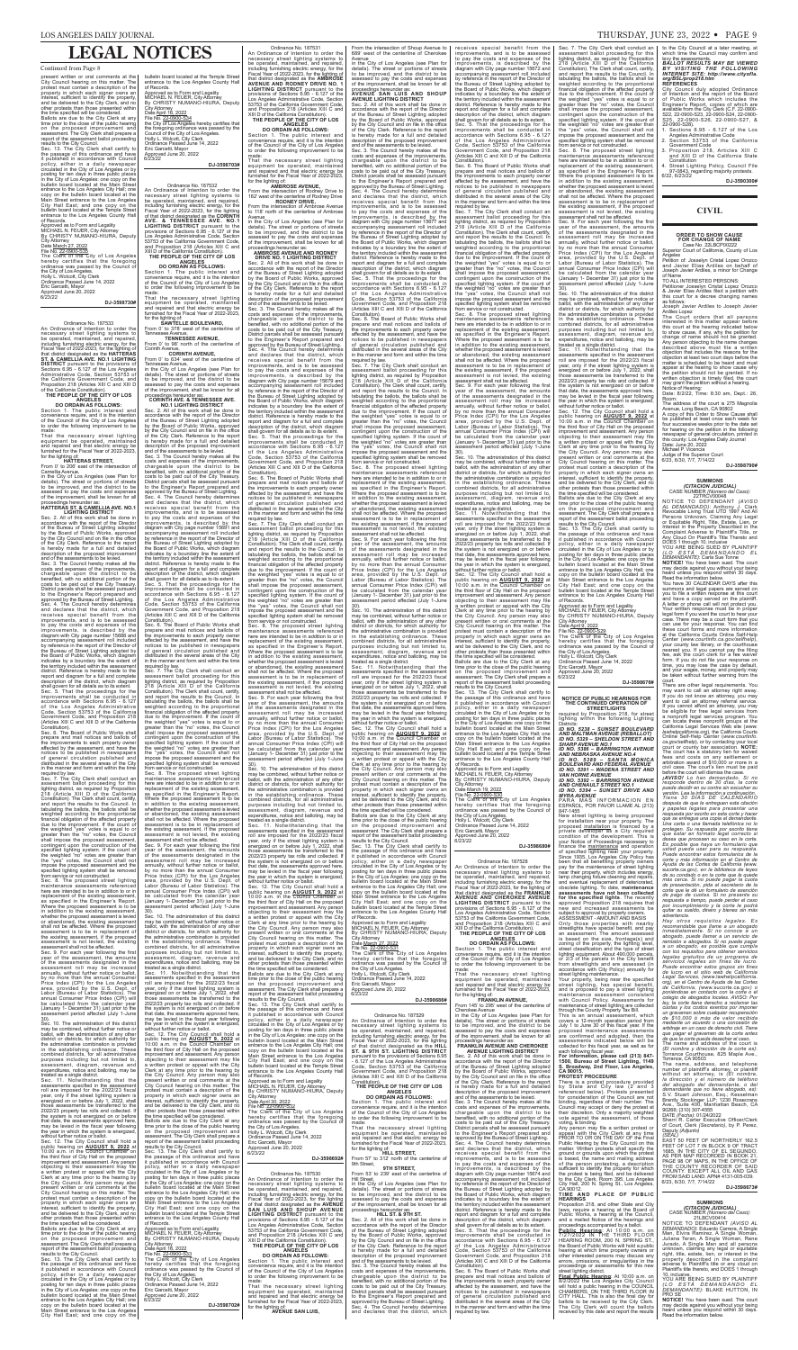LOS ANGELES DAILY JOURNAL THURSDAY, JUNE 23, 2022 •PAGE 9

present written or oral comments at the City Council hearing on this matter. The protest must contain a description of the property in which each signer owns an interest, sufficient to identify the property, and be delivered to the City Clerk, and no other protests than those presented within the time specified will be considered.

Ballots are due to the City Clerk at any time prior to the close of the public hearing on the proposed improvement and assessment. The City Clerk shall prepare a

City Attorney<br>Date <u>March 27, 2022</u><br>File No. <u>22-0900-S35</u><br>The Clerk of the City of Los Angeles<br>hereby certifies that the foregoing<br>ordinance was passed by the Council of the City of Los Angeles. Holly L. Wolcott, City Clerk Ordinance Passed June 14, 2022

report of the assessment ballot proceeding results to the City Council. Sec. 13. The City Clerk shall certify to the passage of this ordinance and have it published in accordance with Council policy, either in a daily newspaper circulated in the City of Los Angeles or by posting for ten days in three public places in the City of Los Angeles: one copy on the bulletin board located at the Main Street entrance to the Los Angeles City Hall; one copy on the bulletin board located at the Main Street entrance to the Los Angeles City Hall East; and one copy on the bulletin board located at the Temple Street entrance to the Los Angeles County Hall of Records.

Approved as to Form and Legality MICHAEL N. FEUER, City Attorney By CHRISTY NUMANO-HIURA, Deputy

**LIGHTING DISTRICT** Sec. 2. All of this work shall be done in accordance with the report of the Director of the Bureau of Street Lighting adopted<br>by the Board of Public Works, approved<br>by the City Council and on file in the office<br>of the City Clerk. Reference to the report<br>is hereby made for a full and detailed<br>description of

Eric Garcetti, Mayor Approved June 20, 2022 6/23/22

**DJ-3598730#**

Ordinance No. 187533

An Ordinance of Intention to order the necessary street lighting systems to be operated, maintained, and repaired, including furnishing electric energy, for the Fiscal Year of 2022-2023, for the lighting of that district designated as the **HATTERAS ST. & CAMELLIA AVE. NO.1 LIGHTING DISTRICT** pursuant to the provisions of Sections 6.95 - 6.127 of the Los Angeles Administrative Code, Section 53753 of the California Government Code, and Proposition 218 (Articles XIII C and XIII D of the California Constitution). **THE PEOPLE OF THE CITY OF LOS** 

### **ANGELES DO ORDAIN AS FOLLOWS:**

Section 1. The public interest and convenience require, and it is the intention of the Council of the City of Los Angeles to order the following improvement to be

costs to be paid out of the City Treasury.<br>District parcels shall be assessed pursuant<br>to the Engineer's Report prepared and<br>approved by the Bureau of Street Lighting.<br>Sec. 4. The Council hereby determines<br>and declares tha mprovements, and is to be assessed to pay the costs and expenses of the<br>improvements, is described by the improvements, is described by the<br>diagram with City page number 15688 and<br>accompanying assessment roll included<br>by reference in the report of the Director of<br>the Bureau of Street Lighting adopted by<br>the Board of Public Wor indicates by a boundary line the extent of<br>the territory included within the assessment<br>district. Reference is hereby made to the<br>report and diagram for a full and complete<br>description of the district, which diagram shall govern for all details as to its extent. Sec. 5. That the proceedings for the improvements shall be conducted in accordance with Sections 6.95 - 6.127 of the Los Angeles Administrative Code, Section 53753 of the California Government Code, and Proposition 218 (Articles XIII C and XIII D of the California

required by law. Sec. 7. The City Clerk shall conduct an assessment ballot proceeding for this lighting district, as required by Proposition 218 (Article XIII D of the California Constation). The Clerk shall count, certify, and report the results to the Council. In tabulating the ballots, the ballots shall council. In weighted according to the proportional due

impose the proposed assessment and the<br>specified lighting system shall be removed<br>from service or not constructed.<br>Sec. 8. The proposed street lighting<br>maintenance assessments referenced<br>here are intended to be in addition whether the proposed assessment is levied<br>or abandoned, the existing assessment<br>shall not be affected. Where the proposed<br>assessment is to be in replacement of<br>the existing assessment, if the proposed<br>assessment is not lev

Sec. 9. For each year following the first<br>cye-<br>or of the assessment, the amounts<br>of the assessment coll may be increased<br>annually, without further notice or ballot,<br>by no more than the amoual Consumer<br>Price Index (CPI) for

made: That the necessary street lighting equipment be operated, maintained and repaired and that electric energy be furnished for the Fiscal Year of 2022-2023,

### for the lighting of: **HATTERAS STREET,**

From 0' to 206' east of the intersection of Camellia Avenue,<br>in the City of Los Angeles (see Plan for<br>details). The street or portions of streets<br>to be improved, and the district to be<br>assessed to pay the costs and expenses<br>of the improvement, shall be known for all

proceedings hereunder as: **HATTERAS ST. & CAMELLIA AVE. NO.1** 

assessments specified in the assessment roll are imposed for the 2022/23 fiscal year, only if the street lighting system is energized on or before July 1, 2022, shall those assessments be transferred to the<br>2022/23 property tax rolls and collected. If 2022/23 property tax rolls and collected. If<br>the system is not energized on or before<br>that date, the assessments approved here,<br>may be levied in the fiscal year following<br>the year in which the system is energized,<br>without

improvement and assessment. Any person<br>objecting to their assessment may file<br>a written protest or appeal with the City<br>Clerk at any time prior to the hearing by<br>the City Council. Any person may also<br>present written or ora property in which each signer owns an interest, sufficient to identify the property, and be delivered to the City Clerk, and no other protests than those presented within

Constitution). Sec. 6. The Board of Public Works shall prepare and mail notices and ballots of the improvements to each property owner affected by the assessment, and have the notices to be published in newspapers of general circulation published and distributed in the several areas of the City

**ANGELES DO ORDAIN AS FOLLOWS:** Section 1. The public interest and convenience require, and it is the intention of the Council of the City of Los Angeles to order the following improvement to be

assessed to pay the costs and expenses of the improvement, shall be known for all Proceedings hereunder as:<br>roceedings hereunder as:<br>**CORINTH AVE. & TENNESSEE AVE.** 

**CORINTH AVE. & TENNESSEE AVE.**<br>Sec. 2. All of this work shall be done in accordance with the report of the Bureau of Street Lighting adopted of the Bureau of Street Lighting daopted by the Gotar of the Direction of the Ci

improvements, is described by the<br>diagram with City page number 15691 and<br>accompanying assessment roll included<br>by reference in the report of the Director of<br>the Bureau of Street Lighting adopted by<br>the Board of Public Wor

indicates by a boundary line the extent of<br>the territory included within the assessment<br>district. Reference is hereby made to the<br>report and diagram for a full and complete<br>description of the district, which diagram<br>shall

Sec. 10. The administration of this district may be combined, without further notice or ballot, with the administration of any other district or districts, for which authority for the administrative combination is provided in the establishing ordinance. These combined districts, for all administrative purposes including but not limited to, assessment, diagram, revenue and expenditures, notice and balloting, may be treated as a single district. Sec. 11. Notwithstanding that the may be levied in the fiscal year following<br>the year in which the system is energized,<br>without further notice or ballot.<br>Sec. 12. The City Council shall hold a<br>public hearing on **AUGUST 9. 2022** at<br>10:00 a.m. in the Council property in which each signer owns an interest, sufficient to identify the property,

and be delivered to the City Clerk, and no<br>other protests than those presented within<br>the time specified will be considered.<br>Ballots are due to the City Clerk at any<br>time prior to the close of the public hearing on the proposed improvement and<br>assessment. The City Clerk shall prepare a

assessment. The City Clerk shall prepare a<br>report of the assessment ballot proceeding<br>results to the City Council.<br>Sec. 13. The City Council.<br>the passage of this ordinance and have<br>it published in accordance with Council<br>p entrance to the Los Angeles City Hall; one copy on the bulletin board located at the CM (City Hall East; and one copy on the bulletin board located at the Temple Street entrance to the Los Angeles County Hal<br>of Records.

of Records<br>Approved as to Form and Legality<br>MICHAEL N. FEUER, City Attorney<br>City Attens<br>City Attemey<br>City Attemey<br>City Attemey<br>File No <u>22-0900-S33</u><br>The Clerk of the City of Los Angeles<br>Are File Clerk of the City of Los An

the time specified will be considered. Ballots are due to the City Clerk at any time prior to the close of the public hearing on the proposed improvement and assessment. The City Clerk shall prepare a

report of the assessment ballot proceeding results to the City Council. Sec. 13. The City Clerk shall certify to the passage of this ordinance and have it published in accordance with Council policy, either in a daily newspaper circulated in the City of Los Angeles or by posting for ten days in three public places in the City of Los Angeles: one copy on the bulletin board located at the Main Street entrance to the Los Angeles City Hall; one copy on the bulletin board located at the Main Street entrance to the Los Angeles City Hall East; and one copy on the

218 (Article XIII D of the California<br>Constitution). The Clerk shall count, certify,<br>Constitution). The Clerk shall count, certify,<br>and report the results to the Council. In<br>tabulating the ballocs, the ballocs shall be<br>thr Sec. 8. The proposed street lighting<br>maintenance assessments referenced here are intended to be in addition to or in replacement of the existing assessment, as specified in the Engineer's Report. Where the proposed assessment is to be in addition to the existing assessment, whether the proposed assessment is levied<br>or abandoned, the existing assessment<br>assessment is to be in replacement of<br>the existing assessment, if the proposed

assessment is not levied, the existing<br>assessment is not levied, the existing<br>Sassessment shall not be affected.<br>Sec. 9. For each year following the first<br>of the assessment, the amounts<br>of the assessment colling to the inc

bulletin board located at the Temple Stree entrance to the Los Angeles County Hall of Records. Approved as to Form and Legality MICHAEL N. FEUER, City Attorney By CHRISTY NUMANO-HIURA, Deputy City Attorney Date <u>April 16, 2022</u><br>File No. <u>22-0900-S34</u><br>the City of Los Angeles hereby certifies that<br>the foregoing ordinance was passed by the Ordinance No. 187531<br>An Ordinance of Intention to order the<br>necessary street lighting systems to<br>be operated, maintained, and repaired,<br>including furnishing electric energy, for the<br>Fiscal Year of 2022-2023, for the lighti LIGHTING DISTRICT pursuant to the<br>provisions of Sections 6.95 - 6.127 of the<br>Los Angeles Administrative Code, Section<br>53753 of the California Government Code,<br>and Proposition 218 (Articles XIII C and<br>XIII D of the Californ **THE PEOPLE OF THE CITY OF LOS** 

> for the light **AMBROSE AVENUE,**

Ordinance No. 187532<br>An Ordinance of Intention to order the<br>necessary street lighting systems to<br>be operated, maintained, and repaired,<br>including furnishing electric energy, for the<br>Fiscal Year of 2022-2023, for the lighti From the intersection of Rodney Drive to 162' west of the centerline of Rodney Drive

**RODNEY DRIVE,**<br>From the intersection of Ambrose Avenue<br>to 118' north of the centerline of Ambrose Avenue in the City of Los Angeles (see Plan for

details). The street or portions of streets<br>to be improved, and the district to be<br>assessed to pay the costs and expenses<br>of the improvement, shall be known for all<br>proceedings hereunder as:<br>**AMBROSE AVENUE AND RODNEY** 

Council of the City of Los Angeles. Holly L. Wolcott, City Clerk Ordinance Passed June 14, 2022

of that district designated as the **CORINTH**<br>**AVE. & TENNESSEE AVE. NO.1**<br>**LIGHTING DISTRICT** pursuant to the<br>provisions of Sections 6.95 - 6.127 of the<br>Los Angeles Administrative Code, Section<br>53753 of the California Gove

Eric Garcetti, Mayor Approved June 20, 2022 6/23/22

**DRIVE NO. 1 LIGHTING DISTRICT**<br>CREATION DISTRICT SOCTION SCENCE AND of this work shall be done in accordance with the report of the Director of the Clindring adopted by the Gotard of Public Works, approved of the Clity Cl accordance with Sections 6.95 - 6.127 of the Los Angeles Administrative

made: That the necessary street lighting equipment be operated, maintained and repaired and that electric energy be furnished for the Fiscal Year of 2022-2023,

**CORINTH AVENUE,**<br> **CORI** west of the centerline of<br>
Tennessee Avenue,<br>
in the City of Los Angeles (see Plan for<br>
details). The street or portions of streets<br>
to be improved, and the district to be

for the lighting of: **SAWTELLE BOULEVARD,** From 0' to 378' west of the  $\alpha$ Tennessee Avenue, **TENNESSEE AVENUE,** From 0' to 98' north of the centerline of Corinth Avenue,

of the Los Angeles Administrative Code, Section 53753 of the California Government Code, and Proposition 218 (Articles XIII C and XIII D of the California Constitution). Sec. 6. The Board of Public Works shall prepare and mail notices and ballots of the improvements to each property owner affected by the assessment, and have the notices to be published in newspapers

> By CHRISTY NUMANO-HIURA, Deputy<br>City Attomey<br>Date April 30, 2022<br>File No. <u>22-0900-532</u><br>File No. <u>22-0900-532</u><br>The Clerk of the City of Los Angeles<br>hereby certifies that the foregoing<br>ordinance was passed by the Council of Ordinance Passed June 14, 2022 Eric Garcetti, Mayor Approved June 20, 2022 6/23/22

Ordinance No. 187530 An Ordinance of Intention to order the necessary street lighting systems to be operated, maintained, and repaired, including furnishing electric energy, for the Fiscal Year of 2022-2023, for the lighting of that district designated as the **AVENUE SAN LUIS AND SHOUP AVENUE LIGHTING DISTRICT** pursuant to the provisions of Sections 6.95 - 6.127 of the Los Angeles Administrative Code, Section 53753 of the California Government Code, XIII C and Proposition 2.18 (Articles XIII C and XIII D of th

of general circulation published and distributed in the several areas of the City in the manner and form and within the time

required by law. Sec. 7. The City Clerk shall conduct an assessment ballot proceeding for this lighting district, as required by Proposition

made: That the necessary street lighting equipment be operated, maintained<br>and repaired and that electric energy be<br>furnished for the Fiscal Year of 2022-2023,<br>for the lighting of:<br>**AVENUE SAN LUIS,** 

From the intersection of Shoup Avenue to west of the centerline

**DJ-3598703#** Section 1. The public interest and convenience require, and it is the intention of the City of Los Angeles to order the following improvement to be made: That the necessary street lighting equipment be operated, maintained and repaired and that electric energy be furnished for the Fiscal Year of 2022-2023,

may be combined, without further notice or ballot, with the administration of any other district or districts, for which authority for the administrative combination is provided in the establishing ordinance. These combined districts, for all administrative purposes including but not limited to, assessment, diagram, revenue and expenditures, notice and balloting, may be treated as a single district. Sec. 11. Notwithstanding that the

assessments specified in the assessment roll are imposed for the 2022/23 fiscal year, only if the street lighting system is energized on or before July 1, 2022, shall those assessments be transferred to the 2022/23 property tax rolls and collected. If the system is not energized on or before that date, the assessments approved here,

> Section 1. The public interest and convenience require, and it is the intention of the Council of the City of Los Angeles to order the following improvement

> Hill Street, in the City of Los Angeles (see Plan for details). The street or portions of streets to be improved, and the district to be assessed to pay the costs and expenses<br>of the improvement, shall be known for all hent, shall be known for al

the City of Los Angeles. Holly L. Wolcott, City Clerk Ordinance Passed June 14, 2022 Eric Garcetti, Mayor Approved June 20, 2022 6/23/22 **DJ-3598702#** description of the proposed improvement and of the assessments to be levied. Sec. 3. The Council hereby makes all the costs and expenses of the improvements, chargeable upon the district to be benefited, with no additional portion of the costs to be paid out of the City Treasury.<br>District parcels shall be assessed pursuant to the Engineer's Report prepared and<br>approved by the Bureau of Street Lighting.<br>Sec. 4. T Approved as to Form and Legality<br>MICHAEL N. FEUER, City Attorney<br>By CHRISTY NUMANO-HIURA, Deputy<br>City Attorney<br>Date <u>March 19, 2022</u>

File No. 22-0900-S30<br>The Clerk of the City of Los Angeles<br>The Clerk of the City of Los Angeles<br>ordinance was passed by the Council of<br>the City of Los Angeles.<br>Holly L. Wolcott, City Clerk<br>Ordinance Passed June 14, 2022<br>Dri

## **ANGELES DO ORDAIN AS FOLLOWS:**

Code, Section 53753 of the California Government Code, and Proposition 218

(Articles XIII C and XIII D of the California<br>Constitution).<br>Constitution Card XIII D of the California<br>Sec. 6. The Board of Public Works shall<br>prepare and mail notices and ballots of<br>the improvements to each property owne

Section 1. The public interest and convenience require, and it is the intention of the Council of the City of Los Angeles to order the following improvement

### for the lighting of: **FRANKLIN AVENUE,** From 145' to 295' west of the centerline of

ballot, with the administration of any other district or districts, for which authority for

the administrative combination is provided in the establishing ordinance. These<br>in the establishing ordinance. These<br>gombined districts, for all administrative<br>geographitters, notice and ballotting, may be<br>experimented to

**DJ-3598692#**

ID NO. 5238 – SUNSET BOULEVARD<br>AND MALTMAN AVENUE (REBALLOT)<br>ID NO. 5329 – SHELDON STREET AND<br>SHARP AVENUE NO.1<br>ID NO. 5329 – SHELDON STREET AND<br>ID NO. 5386 – BARRINGTON AVENUE<br>AND NEBRASKA AVENUE NO.4<br>BOULEVARD AND FEDERA for installation near your property. The<br>proposed <u>installation</u> is financed by a<br>private developer as a City required<br>condition of the development. This is<br>your Notice of Proceedings necessary to<br>finance the <u>maintenance</u> of specified lighting near your property. Since 1935, Los Angeles City Policy has been that all benefiting property owners pay for the maintenance of street lighting near their property, which includes energy, lamp changing fixture cleaning and repairs, and eventual replacement of deteriorated, obsolete lighting. To date, **maintenance assessments have not been collected for the specified lights**. The recently approved Proposition 218 requires that new and increased assessments be subject to approval by property owners. ASSESSMENT - AMOUNT AND BASIS Only those properties with nearby streetlights have special benefit, and pay an assessment. The amount assessed is based on the size, frontage(s) and zoning of the property, the lighting level, street classification and the type of street lighting equipment. About 490,000 parcels, or 2/3 of the parcels in the City benefit from streetlights and are assessed (in accordance with City Policy) annually for street lighting maintenance. Your property, being near the specified street lighting, has special benefit, and is proposed to pay a street lighting maintenance assessment consistent<br>with Council Policy. Assessments for<br>maintenance of street lighting are collected<br>through the County Property Tax Bill.<br>This is an annual assessment, which covers a 12-month operation period from July 1 to June 30 of this fiscal year. If the proposed maintenance assessments are confirmed and adopted, then the assessments indicated below will collected for this fiscal year, as well as fo each following fiscal year. **For information, please call (213) 847- 1500, Bureau of Street Lighting, 1149 S. Broadway, 2nd Floor, Los Angeles, CA 90015. PROTEST PROCEDURE** There is a protest procedure provided by State and City law (2 and 3 referenced below). Protests presented for consideration of the Council are not

in the manner and form and within the time

**ANGELES DO ORDAIN AS FOLLOWS:**

Section 1. The public interest and convenience require, and it is the intention of the City of Los Angeles to order the following improvement to be

proceedings accompanied by a ballot.<br>Public Hearing: At 10:00 a.m. on<br>7/27/2022 IN THE THIRD FLOOR<br>HEARING ROOM, 200 N. SPRING ST.,<br>the Board of Public Works will hold a public hearing at which time property owners or other interested persons may discuss any errors, omissions, or irregularities in th proceedings or assessments for this new

Avenue in the City of Los Angeles (see Plan for details). The street or portions of streets

to be improved, and the district to be<br>sossessed to pay the costs and expenses<br>sossessed to pay the costs and expenses<br>of the improvement, shall be known for all<br>**AVENUE SAN LUIS AND SHOUP**<br>**AVENUE SAN LUIS AND SHOUP**<br>**AVE** 

prepare and mail notices and ballots of<br>the improvements to each property owner<br>affected by the assessment, and have the<br>notices to be published in newspapers<br>of general circulation published and<br>distributed in the several

Constitution). The Clerk shall count, certify, and report the results to the Council. In tabulating the ballots, the ballots shall be used<br>plated according to the proportional financial objepted according to the proportion

Sec. 8. The proposed strete lighting<br>maintenance assessments referenced<br>there are intended to be in addition to or in<br>replacement of the existing assessment,<br>as specified in the Engineer's Report.<br>Where the proposed assess

ballot, with the administration of any other<br>district or districts for which and y other<br>district or districts for which and<br>noisy for<br>the administrative combination is provided<br>in the establishing ordinance. These<br>combine

receives special benefit from the assessed<br>in perform the more throm the more term of the mimprovements, and is to be assessed<br>to pay the costs and expenses of the<br>interparents, is described by the didiagram with City page Sec. 7. The City Clerk shall conduct an assessment ballot proceeding for this lighting district, as required by Proposition 218 (Article XIII D of the California Control Control<br>Constitution). The Clerk shall count, certify,<br>and report the results to the Council. In<br>tabulating the ballocs, the ballots shall be weighted according to the proporti Sec. 8. The proposed strett lighting<br>maintenance assessments referenced<br>there are intended to be in addition to or in<br>replacement of the existing assessment,<br>as specified in the Engineer's Report.<br>Where the proposed assess

(Articles XIII C and XIII D of the California<br>Constitution).<br>Constitution Circles XIII C and of Public Works shall<br>prepare and mail notices and ballots of<br>the improvements to each property owner<br>affected by the assessment,

of the assessments designated in the<br>assessment roll may be increased<br>assessment roll may be increased<br>phy no more than the annual Consumer<br>Price Index (CPI) for the Los Angeles<br>area, provided by the U.S. Dept. of<br>Labor (B

Sec. 10. The administration of this district<br>may be combined, without further notice or<br>ballot, with the administration of any other<br>district or districts, for which authority for<br>the administrative combination is provided

assessments specified in the assessments por<br>an assessments porcified in the assessments propared for the 2022/23 fiscal<br>pear, only if the street lighting system is<br>those assessments be transferred to the<br>chose assessments

interest, sufficient to identify the property, and<br>and be delivered to the City Clerk, and no<br>other protests than those presented within<br>Ballots are due to the City Clerk at any<br>time pror to the close of the public hearing

to the City Council at a later meeting, at which time the Council may confirm and levy the assessments.<br>BALLOT RESULTS MAY BE VIEWED

*DEMANDADO)*: Eduardo Carrera, A Single<br>Man, Elvira Ramirez, A Single Woman,<br>Juliana Teran, A Single Woman, Rene<br>Jurado, A Single Man and all persons unknown, claiming any legal or equitable right, title, estate, lien, or interest in the property described in the complaint adverse to Plaintiff's title or any cloud on Plaintiff's title thereto, and DOES 1 through

10, inclusive, YOU ARE BEING SUED BY PLAINTIFF *(LO ESTA DEMANDANDO EL<br>DEMANDANTE)*: BLAKE HUTTON, IN

Approved as to Form and Legality MICHAEL N. FEUER, City Attorney By CHRISTY NUMANO-HIURA, Deputy

By CHRISTY NOME<br>City Attorney<br>Date <u>March 27, 2022</u><br>File No. 22-0900-S31

Date <u>March 27, 2022</u><br>Tile No. <u>22-0900-S31</u><br>The Clerk of the City of Los Angeles<br>hereby certifies that the foregoing<br>ordinance was passed by the Council of<br>the City of Los Angeles.<br>Holly L. Wolcott, City Clerk<br>Ordinance P

Eric Garcetti, Mayor Approved June 20, 2022 6/23/22

### **DJ-3598686#**

### Ordinance No. 187529

An Ordinance of Intention to order the necessary street lighting systems to be operated, maintained, and repaired, including furnishing electric energy, for the Fiscal Year of 2022-2023, for the lighting of that district designated as the **HILL ST. & 9TH ST. LIGHTING DISTRICT** pursuant to the provisions of Sections 6.95 - 6.127 of the Los Angeles Administrative Code, Section 53753 of the California Government Code, and Proposition 218 (Articles XIII C and XIII D of the California Constitution). **THE PEOPLE OF THE CITY OF LOS** 

## **ANGELES DO ORDAIN AS FOLLOWS:**

made: That the necessary street lighting equipment be operated, maintained and repaired and that electric energy be furnished for the Fiscal Year of 2022-2023,

for the lighting of: **HILL STREET,** From 57' to 312' north of the centerline of 9th Street, **9TH STREET,** From 53' to 239' east of the centerline of

proceedings hereunder as: **HILL ST. & 9TH ST.**

Sec. 2. All of this work shall be done in accordance with the report of the Director of the Bureau of Street Lighting adopted by the Board of Public Works, approved by the City Council and on file in the office of the City Clerk. Reference to the report is hereby made for a full and detailed Ordinance No. 187528

An Ordinance of Intention to order the necessary street lighting systems to be operated, maintained, and repaired, including furnishing electric energy, for the Fiscal Year of 2022-2023, for the lighting of that district designated as the **FRANKLIN AVENUE AND CHEROKEE AVENUE LIGHTING DISTRICT** pursuant to the provisions of Sections 6.95 - 6.127 of the Los Angeles Administrative Code, Section 53753 of the California Government Code, and Proposition 218 (Articles XIII C and XIII D of the California Constitution). **THE PEOPLE OF THE CITY OF LOS** 

### **ANGELES DO ORDAIN AS FOLLOWS:**

made: That the necessary street lighting equipment be operated, maintained and repaired and that electric energy be furnished for the Fiscal Year of 2022-2023,

Cherokee Avenue in the City of Los Angeles (see Plan for details). The street or portions of streets to be improved, and the district to be assessed to pay the costs and expenses of the improvement, shall be known for all proceedings hereunder as: **FRANKLIN AVENUE AND CHEROKEE** 

**AVENUE LIGHTING DISTRICT** Sec. 2. All of this work shall be done in accordance with the report of the Director of the Bureau of Street Lighting adopted by the Board of Public Works, approved by the City Council and on file in the office of the City Clerk. Reference to the report is hereby made for a full and detailed

description of the proposed improvement and of the assessments to be levied. Sec. 3. The Council hereby makes all the costs and expenses of the improvements,

chargeable upon the district to be benefited, with no additional portion of the costs to be paid out of the City Treasury. District parcels shall be assessed pursua to the Engineer's Report prepared and approved by the Bureau of Street Lighting. Sec. 4. The Council hereby determines and declares that the district, which receives special benefit from the improvements, and is to be assessed to pay the costs and expenses of the improvements, is described by the diagram with City page number 15674 and accompanying assessment roll included by reference in the report of the Director of the Bureau of Street Lighting adopted by the Board of Public Works, which diagram indicates by a boundary line the extent of the territory included within the assessment district. Reference is hereby made to the report and diagram for a full and complete description of the district, which diagram shall govern for all details as to its extent. Sec. 5. That the proceedings for the improvements shall be conducted in accordance with Sections 6.95 - 6.127

of the Los Angeles Administrative Code, Section 53753 of the California Government Code, and Proposition 218 (Articles XIII C and XIII D of the California Constitution). Sec. 6. The Board of Public Works shall

prepare and mail notices and ballots of the improvements to each property owner affected by the assessment, and have the notices to be published in newspapers of general circulation published and distributed in the several areas of the City in the manner and form and within the time required by law.

Main Street entrance to the Los Angeles City Hall East; and one copy on the bulletin board located at the Temple Street entrance to the Los Angeles County Hall of Records.

Approved as to Form and Legality MICHAEL N. FEUER, City Attorney By CHRISTY NUMANO-HIURA, Deputy

File No. 2<u>2-0900-S29</u><br>The Clerk of the City of Los Angeles<br>hereby certifies that the foregoing<br>ordinance was passed by the Council of<br>the City of Los Angeles.<br>Holly L. Wolcott, City Clerk<br>Ordinance Passed June 14, 2022<br>Er

Approved June 20, 2022 6/23/22

City Attorney<br>Date <u>April 9, 2022</u>

ballot, with the administration of any other<br>district or districts, for which authority for<br>the administrative combination is provided<br>in the establishing ordinance. These<br>combined districts, for all administrative<br>purpose

assessments specified in the assessments procedure to the constrate of promation and pare imposed for the 2022/23 fiscal by the sthese assessments be transferred to the the distinguist and constration of before July 1, 202

## binding, regardless of their number. The Council may accept or deny the protest at their discretion. Only a majority weighted vote against the assessment, of those

voting, is binding. Any person may file a written protest or appeal with the City Clerk at any time PRIOR TO OR ON THE DAY OF the Final Public Hearing by the City Council on this matter. Written protests shall specify the ground or grounds upon which the protest is based, the name and mailing address of the person protesting, a description sufficient to identify the property for which the protest is being filed, and be delivered to the City Clerk, Room 395, Los Angeles City Hall, 200 N. Spring St., Los Angeles,

## CA 90012. **TIME AND PLACE OF PUBLIC**

**HEARINGS** Proposition 218, and other State and City laws, require a hearing at the Board of Public Works, a hearing at the Council, and a mailed Notice of the hearings and

### **DJ-3598676#** court. There are other legal requirements. You

street lighting district. **Final Public Hearing**: At 10:00 a.m. on 8/2/2022 the Los Angeles City Council will hold a public hearing in the COUNCIL CHAMBERS, ON THE THIRD FLOOR IN CITY HALL. This is also the final day for ballots to be received by the City Clerk. The City Clerk will count the ballots received by this date and report the results

civil case. The court's lien must be pai

*BALLOT RESULTS MAY BE VIEWED BY VISITING THE FOLLOWING INTERNET SITE: http://www.cityofla. org/BSL/prop218.htm*

REFERNICES<br>
City Council duly adopted Ordinance<br>
of Intention and the report of the Board<br>
of Public Works which includes the<br>
Engineer's Report, copies of which are<br>
available from the City Clerk (C.F. 22-0900-<br>
S22, 22-0

Angeles Administrative Code<br>
2. Section 53753 of the California<br>
Government Code<br>
3. Proposition 218, Articles XIII C<br>
and XIII D of the California State<br>
Constitution

4. Street Lighting Policy, Council File 97-0843, regarding majority protests. 6/22, 6/23/22

**DJ-3590300#**

**CIVIL**

## **ORDER TO SHOW CAUSE<br>
FOR CHANGE OF NAME<br>
Case No. 22LBCP00222<br>
Superior Court of California, County of Los**

Angeles Petition of: Josselyn Cristal Lopez Orozco and Javier Elias Ardiles on behalf of Joseph Javier Ardiles, a minor for Change of Name TO ALL INTERESTED PERSONS:

Petitioner Josselyn Cristal Lopez Orozco<br>
Ra Javier Elias Ardies filed a petition with<br>
Ra Javier Elias Ardies filed a petition with<br>
this court for a decree changing names<br>
as Solows:<br>
Ardies Lopez<br>
Ardies Lopez<br>
Ardies L

newspaper of general circulation, printed in this county: Los Angeles Daily Journal Date: June 20, 2022 Michael P. Vicencia

Judge of the Superior Court 6/23, 6/30, 7/7, 7/14/22

**DJ-3598790#**

**SUMMONS<br>** *CITACION JUDICIAL*<br>
CASE NUMBER *(Número del Caso):*<br>
NOTICE TO DEFENDANT *(AVISO AL DEMANDADO)*: Anthony J. Clark<br> *AL DEMANDADO)*: Anthony J. Clark<br>
Revocable Living Trust UTD 1997 And All Persons Unknown, Claiming Any Legal<br>or Equitable Right, Title, Estate, Lien, or<br>Interest in the Property Described in the<br>Complaint Adverse to Plaintiff's Title Thee, or<br>Any Cloud On Plaintif's Title Thereto and<br>DOES 1 thr

*( L O E S T Á D E M A N D A N D O E L DEMANDANTE)*: Carla Sue Tonne

**NOTICE!** You have been sued. The court may decide against you without your being<br>heard unless you respond within 30 days.<br>Read the information below.<br>You have 30 CALENDAR DAYS after this

summons and legal papers are served on you to file a written response at this court and have a copy served on the plaintiff. A letter or phone call will not protect you. Your written response must be in proper legal form if you want the court to hear your case. There may be a court form that you can use for your response. You can find these court forms and more information at the California Courts Online Self-Help<br>Center (www.courtinfo.ca.gov/selffielp),<br>your county law library, or the courthouse<br>nearest you. If you cannot pay the filing<br>fee, ask the court clerk for a fee waiver<br>form. If you time, you may lose the case by default and your wages, money, and property may be taken without further warning from the

may want to call an attorney right away. If you do not know an attorney, you may want to call an attorney referral service. If you cannot afford an attorney, you may be eligible for free legal services from a nonprofit legal services program. You can locate these nonprofit groups at the California Legal Services Web site (*www. lawhelpcalifornia.org*), the California Courts Online Self-Help Center (*www.courtinfo. ca.gov/selfhelp*), or by contacting your local court or county bar association. **NOTE:**  The court has a statutory lien for waived fees and costs on any settlement or arbitration award of \$10,000 or more in a

**NOTICE OF PUBLIC HEARINGS FOR<br>
THE CONTINUED OPERATION OF<br>
required by Proposition 218, for street<br>
lighting within the following Lighting<br>
Districts:** 

before the court will dismiss the case. *¡AVISO! Lo han demandado. Si no responde dentro de 30 días, la corte puede decidir en su contra sin escuchar su versión. Lea la información a continuación. Tiene 30 DÍAS DE CALENDARIO después de que le entreguen esta citación y papeles legales para presentar una respuesta por escrito en esta corte y hacer que se entregue una copia al demandante. Una carta o una llamada telefónica no lo protegen. Su respuesta por escrito tiene que estar en formato legal correcto si desea que procesen su caso en la corte. Es posible que haya un formulario que usted pueda usar para su respuesta. Puede encontrar estos formularios de la corte y más información en el Centro de Ayuda de las Cortes de California (*www. sucorte.ca.gov*), en la biblioteca de leyes de su condado o en la corte que le quede más cerca. Si no puede pagar la cuota de presentación, pida al secretario de la corte que le dé un formulario de exención de pago de cuotas. Si no presenta su respuesta a tiempo, puede perder el caso por incumplimiento y la corte le podrá quitar su sueldo, dinero y bienes sin más advertencia.*

*Hay otros requisitos legales. Es recomendable que llame a un abogado inmediatamente. Si no conoce a un abogado, puede llamar a un servicio de remisión a abogados. Si no puede pagar a un abogado, es posible que cumpla con los requisitos para obtener servicios legales gratuitos de un programa de servicios legales sin fines de lucro. Puede encontrar estos grupos sin fines de lucro en el sitio web de California Legal Services, (*www.lawhelpcalifornia. org*), en el Centro de Ayuda de las Cortes de California, (*www.sucorte.ca.gov*) o poniéndose en contacto con la corte o el*   $c$ olegio de abogados locales. AVISO: Po *ley, la corte tiene derecho a reclamar las cuotas y los costos exentos por imponer un gravamen sobre cualquier recuperación de \$10,000 ó más de valor recibida mediante un acuerdo o una concesión de* 

arbitraje en un caso de derecho civil. Tiene<br>que pagar el gravamen de la cotte antes<br>de que la corte pueda desechar el caso.<br>The name and address of the court is<br>(El nombre y dirección de la corte es):<br>Torrance Couthouse, demandante que no tiene abogado, es):<br>S.V. Stuart Johnson, Esq.; Kesselman<br>Brantly Stockinger LLP; 1230 Rosecrans<br>Ave., Suite 400, Manhattan Beach, CA<br>90266; (310) 307-4555<br>DATE *(Fecha)*: 01/24/2022<br>Sherri R. Carter Execu

Deputy *(Adjunto) (SEAL)*

EAST 50 FEET OF NORTHERLY 162.5<br>FEET OF LOT 7 IN BLOCK 9 OF TRACT<br>1685, IN THE CITY OF EL SEGUNDO,<br>AS PER MAP RECORDED IN BOOK 21,<br>PAGE 98 OF MAPS, IN THE OFFICE OF<br>THE COUNTY. EXCEPT ALL OIL AND GAS<br>FROM SAID LAND. APN# 4

**DJ-3598673#**

**SUMMONS<br>** *(CITACION JUDICIAL)***<br>
CASE NUMBER** *(Número del Caso):***<br>
21LBCV00414<br>
NOTICE TO DEFENDANT** *(AVISO AL* 

PRO SE **NOTICE!** You have been sued. The court may decide against you without your being heard unless you respond within 30 days. Read the information below.

## **LEGAL NOTICES**

### Continued from Page 8